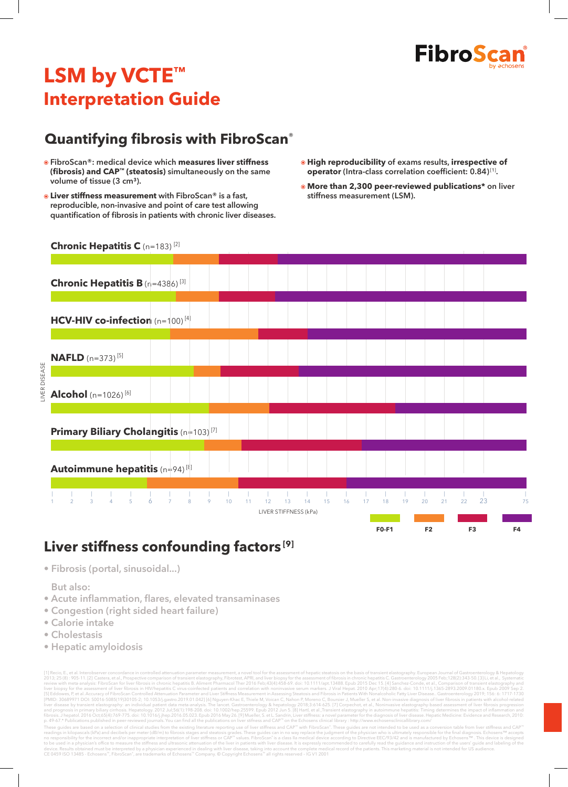

# **LSM by VCTE™ Interpretation Guide**

#### **Quantifying fibrosis with FibroScan**®

- **FibroScan®: medical device which measures liver stiffness (fibrosis) and CAP™ (steatosis) simultaneously on the same**  volume of tissue (3 cm<sup>3</sup>).
- **Liver stiffness measurement with FibroScan® is a fast, reproducible, non-invasive and point of care test allowing quantification of fibrosis in patients with chronic liver diseases.**
- **High reproducibility of exams results, irrespective of operator (Intra-class correlation coefficient: 0.84)**[1]**.**
- **More than 2,300 peer-reviewed publications\* on liver stiffness measurement (LSM).**

#### **Chronic Hepatitis C** (n=183) [2]



#### **Liver stiffness confounding factors [9]**

**• Fibrosis (portal, sinusoidal...)**

**• But also:** 

**• Acute inflammation, flares, elevated transaminases**

device. Results obtained must be interpreted by a physician experienced in dealing with liver disease, taking into account the complete med<br>CE 0459 ISO 13485 - Echosens™, FibroScan®, are trademarks of Echosens™ Company. ©

- **Congestion (right sided heart failure)**
- **Calorie intake**
- **Cholestasis**
- **Hepatic amyloidosis**

(1) Recio, E, et al. Interobaver concordine in controlled attenuation parameter measurement, a novel too for the assessment of fibrosis in transier telatography. European Durand of Gattometroids of the assess of transier e These guides are based on a selection of clinical studies from the existing literature reporting use of liver stiffness and CAP™ with FibroScan." These guides can in no way replace the judgment of the physician who is ult